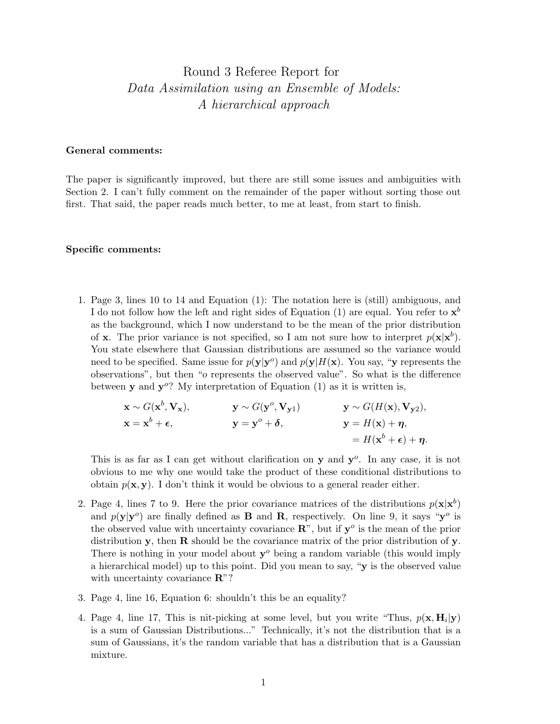## Round 3 Referee Report for Data Assimilation using an Ensemble of Models: A hierarchical approach

## General comments:

The paper is significantly improved, but there are still some issues and ambiguities with Section 2. I can't fully comment on the remainder of the paper without sorting those out first. That said, the paper reads much better, to me at least, from start to finish.

## Specific comments:

1. Page 3, lines 10 to 14 and Equation (1): The notation here is (still) ambiguous, and I do not follow how the left and right sides of Equation (1) are equal. You refer to  $\mathbf{x}^{b}$ as the background, which I now understand to be the mean of the prior distribution of **x**. The prior variance is not specified, so I am not sure how to interpret  $p(\mathbf{x}|\mathbf{x}^b)$ . You state elsewhere that Gaussian distributions are assumed so the variance would need to be specified. Same issue for  $p(y|y^o)$  and  $p(y|H(x))$ . You say, "y represents the observations", but then "o represents the observed value". So what is the difference between **y** and  $y^o$ ? My interpretation of Equation (1) as it is written is,

$$
\mathbf{x} \sim G(\mathbf{x}^b, \mathbf{V}_{\mathbf{x}}), \qquad \mathbf{y} \sim G(\mathbf{y}^o, \mathbf{V}_{\mathbf{y}1}) \qquad \mathbf{y} \sim G(H(\mathbf{x}), \mathbf{V}_{\mathbf{y}2}),
$$
  
\n
$$
\mathbf{x} = \mathbf{x}^b + \epsilon, \qquad \mathbf{y} = \mathbf{y}^o + \delta, \qquad \mathbf{y} = H(\mathbf{x}) + \eta, \n= H(\mathbf{x}^b + \epsilon) + \eta.
$$

This is as far as I can get without clarification on  $y$  and  $y^o$ . In any case, it is not obvious to me why one would take the product of these conditional distributions to obtain  $p(x, y)$ . I don't think it would be obvious to a general reader either.

- 2. Page 4, lines 7 to 9. Here the prior covariance matrices of the distributions  $p(x|x^b)$ and  $p(\mathbf{y}|\mathbf{y}^o)$  are finally defined as **B** and **R**, respectively. On line 9, it says " $\mathbf{y}^o$  is the observed value with uncertainty covariance  $\mathbb{R}^n$ , but if  $\mathbf{y}^o$  is the mean of the prior distribution y, then  $\bf R$  should be the covariance matrix of the prior distribution of y. There is nothing in your model about  $y^{\circ}$  being a random variable (this would imply a hierarchical model) up to this point. Did you mean to say, "y is the observed value with uncertainty covariance  $\mathbb{R}^n$ ?
- 3. Page 4, line 16, Equation 6: shouldn't this be an equality?
- 4. Page 4, line 17, This is nit-picking at some level, but you write "Thus,  $p(\mathbf{x}, \mathbf{H}_i | \mathbf{y})$ is a sum of Gaussian Distributions..." Technically, it's not the distribution that is a sum of Gaussians, it's the random variable that has a distribution that is a Gaussian mixture.